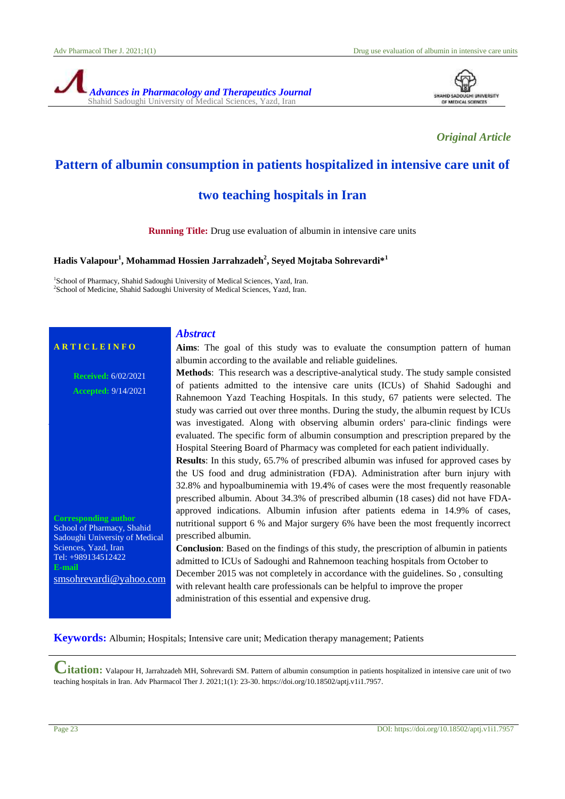



*Original Article*

## **Pattern of albumin consumption in patients hospitalized in intensive care unit of**

## **two teaching hospitals in Iran**

**Running Title:** Drug use evaluation of albumin in intensive care units

#### **Hadis Valapour<sup>1</sup> , Mohammad Hossien Jarrahzadeh<sup>2</sup> , Seyed Mojtaba Sohrevardi\*<sup>1</sup>**

<sup>1</sup>School of Pharmacy, Shahid Sadoughi University of Medical Sciences, Yazd, Iran. <sup>2</sup>School of Medicine, Shahid Sadoughi University of Medical Sciences, Yazd, Iran.

*Abstract*

# **A R T I C L E I N F O**

**Received:** 6/02/2021 **Accepted:** 9/14/2021

**Corresponding author** School of Pharmacy, Shahid Sadoughi University of Medical Sciences, Yazd, Iran Tel: +989134512422 **E-mail**

[smsohrevardi@yahoo.com](mailto:smsohrevardi@yahoo.com)

**Aims**: The goal of this study was to evaluate the consumption pattern of human albumin according to the available and reliable guidelines.

**Methods**: This research was a descriptive-analytical study. The study sample consisted of patients admitted to the intensive care units (ICUs) of Shahid Sadoughi and Rahnemoon Yazd Teaching Hospitals. In this study, 67 patients were selected. The study was carried out over three months. During the study, the albumin request by ICUs was investigated. Along with observing albumin orders' para-clinic findings were evaluated. The specific form of albumin consumption and prescription prepared by the Hospital Steering Board of Pharmacy was completed for each patient individually.

**Results**: In this study, 65.7% of prescribed albumin was infused for approved cases by the US food and drug administration (FDA). Administration after burn injury with 32.8% and hypoalbuminemia with 19.4% of cases were the most frequently reasonable prescribed albumin. About 34.3% of prescribed albumin (18 cases) did not have FDAapproved indications. Albumin infusion after patients edema in 14.9% of cases, nutritional support 6 % and Major surgery 6% have been the most frequently incorrect prescribed albumin.

**Conclusion**: Based on the findings of this study, the prescription of albumin in patients admitted to ICUs of Sadoughi and Rahnemoon teaching hospitals from October to December 2015 was not completely in accordance with the guidelines. So , consulting with relevant health care professionals can be helpful to improve the proper administration of this essential and expensive drug.

**Keywords:** Albumin; Hospitals; Intensive care unit; Medication therapy management; Patients

**Citation:** Valapour H, Jarrahzadeh MH, Sohrevardi SM. Pattern of albumin consumption in patients hospitalized in intensive care unit of two teaching hospitals in Iran. Adv Pharmacol Ther J. 2021;1(1): 23-30. https://doi.org/10.18502/aptj.v1i1.7957.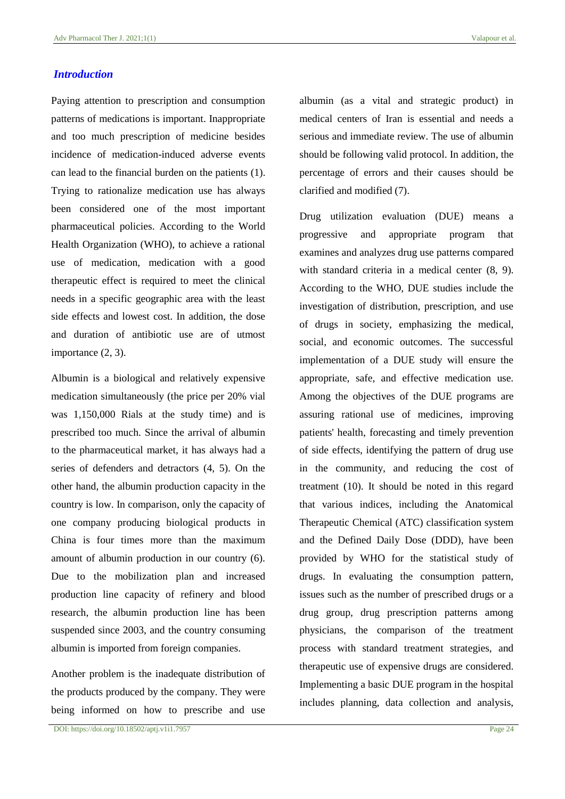#### *Introduction*

Paying attention to prescription and consumption patterns of medications is important. Inappropriate and too much prescription of medicine besides incidence of medication-induced adverse events can lead to the financial burden on the patients (1). Trying to rationalize medication use has always been considered one of the most important pharmaceutical policies. According to the World Health Organization (WHO), to achieve a rational use of medication, medication with a good therapeutic effect is required to meet the clinical needs in a specific geographic area with the least side effects and lowest cost. In addition, the dose and duration of antibiotic use are of utmost importance (2, 3).

Albumin is a biological and relatively expensive medication simultaneously (the price per 20% vial was 1,150,000 Rials at the study time) and is prescribed too much. Since the arrival of albumin to the pharmaceutical market, it has always had a series of defenders and detractors (4, 5). On the other hand, the albumin production capacity in the country is low. In comparison, only the capacity of one company producing biological products in China is four times more than the maximum amount of albumin production in our country (6). Due to the mobilization plan and increased production line capacity of refinery and blood research, the albumin production line has been suspended since 2003, and the country consuming albumin is imported from foreign companies.

Another problem is the inadequate distribution of the products produced by the company. They were being informed on how to prescribe and use

DOI: https://doi.org/10.18502/aptj.v1i1.7957 Page 24

albumin (as a vital and strategic product) in medical centers of Iran is essential and needs a serious and immediate review. The use of albumin should be following valid protocol. In addition, the percentage of errors and their causes should be clarified and modified (7).

Drug utilization evaluation (DUE) means a progressive and appropriate program that examines and analyzes drug use patterns compared with standard criteria in a medical center (8, 9). According to the WHO, DUE studies include the investigation of distribution, prescription, and use of drugs in society, emphasizing the medical, social, and economic outcomes. The successful implementation of a DUE study will ensure the appropriate, safe, and effective medication use. Among the objectives of the DUE programs are assuring rational use of medicines, improving patients' health, forecasting and timely prevention of side effects, identifying the pattern of drug use in the community, and reducing the cost of treatment (10). It should be noted in this regard that various indices, including the Anatomical Therapeutic Chemical (ATC) classification system and the Defined Daily Dose (DDD), have been provided by WHO for the statistical study of drugs. In evaluating the consumption pattern, issues such as the number of prescribed drugs or a drug group, drug prescription patterns among physicians, the comparison of the treatment process with standard treatment strategies, and therapeutic use of expensive drugs are considered. Implementing a basic DUE program in the hospital includes planning, data collection and analysis,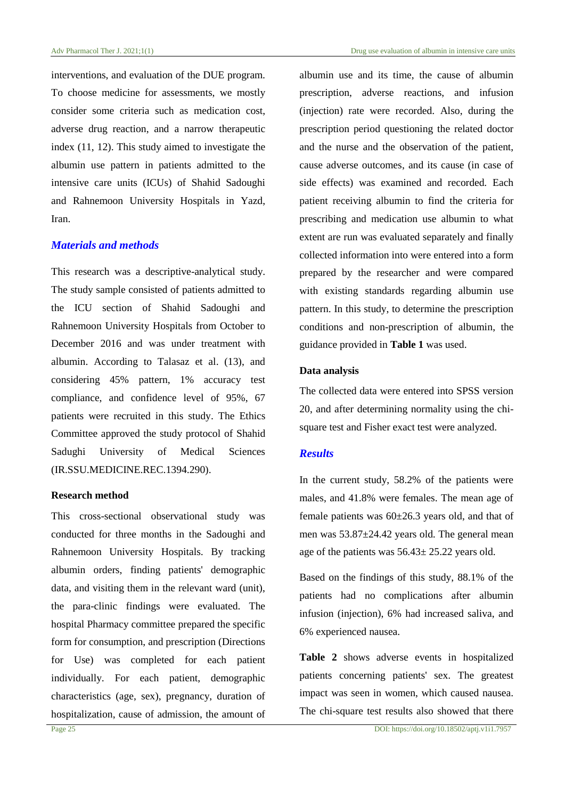interventions, and evaluation of the DUE program. To choose medicine for assessments, we mostly consider some criteria such as medication cost, adverse drug reaction, and a narrow therapeutic index (11, 12). This study aimed to investigate the albumin use pattern in patients admitted to the intensive care units (ICUs) of Shahid Sadoughi and Rahnemoon University Hospitals in Yazd, Iran.

#### *Materials and methods*

This research was a descriptive-analytical study. The study sample consisted of patients admitted to the ICU section of Shahid Sadoughi and Rahnemoon University Hospitals from October to December 2016 and was under treatment with albumin. According to Talasaz et al. (13), and considering 45% pattern, 1% accuracy test compliance, and confidence level of 95%, 67 patients were recruited in this study. The Ethics Committee approved the study protocol of Shahid Sadughi University of Medical Sciences (IR.SSU.MEDICINE.REC.1394.290).

#### **Research method**

This cross-sectional observational study was conducted for three months in the Sadoughi and Rahnemoon University Hospitals. By tracking albumin orders, finding patients' demographic data, and visiting them in the relevant ward (unit), the para-clinic findings were evaluated. The hospital Pharmacy committee prepared the specific form for consumption, and prescription (Directions for Use) was completed for each patient individually. For each patient, demographic characteristics (age, sex), pregnancy, duration of hospitalization, cause of admission, the amount of albumin use and its time, the cause of albumin prescription, adverse reactions, and infusion (injection) rate were recorded. Also, during the prescription period questioning the related doctor and the nurse and the observation of the patient, cause adverse outcomes, and its cause (in case of side effects) was examined and recorded. Each patient receiving albumin to find the criteria for prescribing and medication use albumin to what extent are run was evaluated separately and finally collected information into were entered into a form prepared by the researcher and were compared with existing standards regarding albumin use pattern. In this study, to determine the prescription conditions and non-prescription of albumin, the guidance provided in **Table 1** was used.

#### **Data analysis**

The collected data were entered into SPSS version 20, and after determining normality using the chisquare test and Fisher exact test were analyzed.

### *Results*

In the current study, 58.2% of the patients were males, and 41.8% were females. The mean age of female patients was  $60\pm 26.3$  years old, and that of men was 53.87±24.42 years old. The general mean age of the patients was 56.43± 25.22 years old.

Based on the findings of this study, 88.1% of the patients had no complications after albumin infusion (injection), 6% had increased saliva, and 6% experienced nausea.

**Table 2** shows adverse events in hospitalized patients concerning patients' sex. The greatest impact was seen in women, which caused nausea. The chi-square test results also showed that there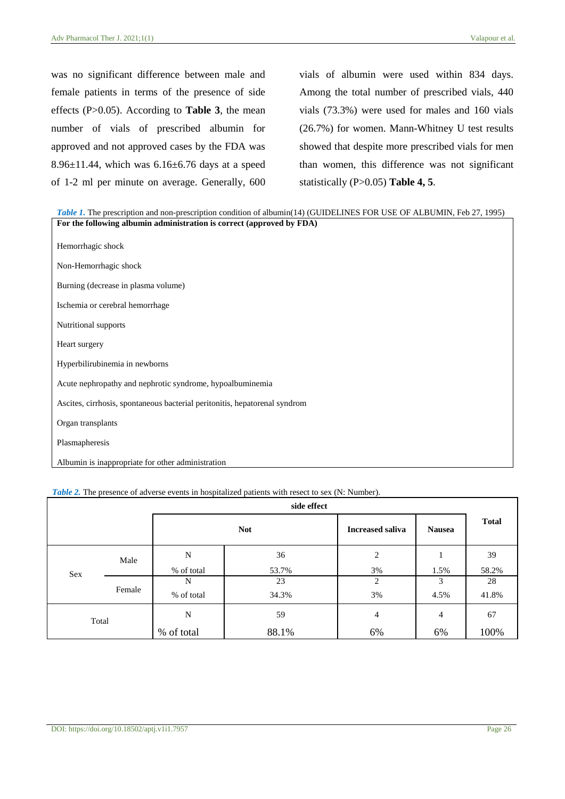was no significant difference between male and female patients in terms of the presence of side effects (P>0.05). According to **Table 3**, the mean number of vials of prescribed albumin for approved and not approved cases by the FDA was 8.96 $\pm$ 11.44, which was 6.16 $\pm$ 6.76 days at a speed of 1-2 ml per minute on average. Generally, 600 vials of albumin were used within 834 days. Among the total number of prescribed vials, 440 vials (73.3%) were used for males and 160 vials (26.7%) for women. Mann-Whitney U test results showed that despite more prescribed vials for men than women, this difference was not significant statistically (P>0.05) **Table 4, 5**.

| Table 1. The prescription and non-prescription condition of albumin(14) (GUIDELINES FOR USE OF ALBUMIN, Feb 27, 1995) |
|-----------------------------------------------------------------------------------------------------------------------|
| For the following albumin administration is correct (approved by FDA)                                                 |
|                                                                                                                       |
| Hemorrhagic shock                                                                                                     |
|                                                                                                                       |
| Non-Hemorrhagic shock                                                                                                 |
| Burning (decrease in plasma volume)                                                                                   |
|                                                                                                                       |
| Ischemia or cerebral hemorrhage                                                                                       |
|                                                                                                                       |
| Nutritional supports                                                                                                  |
|                                                                                                                       |
| Heart surgery                                                                                                         |
| Hyperbilirubinemia in newborns                                                                                        |
|                                                                                                                       |
| Acute nephropathy and nephrotic syndrome, hypoalbuminemia                                                             |
|                                                                                                                       |
| Ascites, cirrhosis, spontaneous bacterial peritonitis, hepatorenal syndrom                                            |
| Organ transplants                                                                                                     |
|                                                                                                                       |
| Plasmapheresis                                                                                                        |
|                                                                                                                       |
| Albumin is inappropriate for other administration                                                                     |

|  | <i>Table 2.</i> The presence of adverse events in hospitalized patients with resect to sex (N: Number). |  |  |  |
|--|---------------------------------------------------------------------------------------------------------|--|--|--|
|--|---------------------------------------------------------------------------------------------------------|--|--|--|

| side effect |        |            |            |                         |               |              |
|-------------|--------|------------|------------|-------------------------|---------------|--------------|
|             |        |            | <b>Not</b> | <b>Increased saliva</b> | <b>Nausea</b> | <b>Total</b> |
|             | Male   | N          | 36         | 2                       |               | 39           |
| Sex         |        | % of total | 53.7%      | 3%                      | 1.5%          | 58.2%        |
|             |        | N          | 23         | 2                       | 3             | 28           |
|             | Female | % of total | 34.3%      | 3%                      | 4.5%          | 41.8%        |
| Total       |        | N          | 59         | 4                       | 4             | 67           |
|             |        | % of total | 88.1%      | 6%                      | 6%            | 100%         |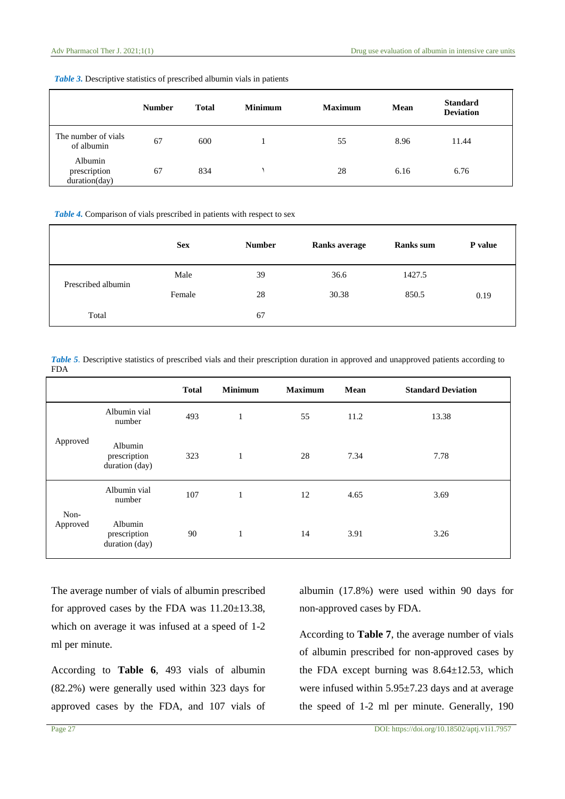|                                          | <b>Number</b> | <b>Total</b> | <b>Minimum</b> | <b>Maximum</b> | Mean | <b>Standard</b><br><b>Deviation</b> |
|------------------------------------------|---------------|--------------|----------------|----------------|------|-------------------------------------|
| The number of vials<br>of albumin        | 67            | 600          |                | 55             | 8.96 | 11.44                               |
| Albumin<br>prescription<br>duration(day) | 67            | 834          |                | 28             | 6.16 | 6.76                                |

#### *Table 3.* Descriptive statistics of prescribed albumin vials in patients

*Table 4.* Comparison of vials prescribed in patients with respect to sex

|                    | <b>Sex</b> | <b>Number</b> | <b>Ranks average</b> | <b>Ranks</b> sum | P value |
|--------------------|------------|---------------|----------------------|------------------|---------|
| Prescribed albumin | Male       | 39            | 36.6                 | 1427.5           |         |
|                    | Female     | 28            | 30.38                | 850.5            | 0.19    |
| Total              |            | 67            |                      |                  |         |

*Table 5*. Descriptive statistics of prescribed vials and their prescription duration in approved and unapproved patients according to FDA

|                  |                                           | <b>Total</b> | <b>Minimum</b> | <b>Maximum</b> | Mean | <b>Standard Deviation</b> |
|------------------|-------------------------------------------|--------------|----------------|----------------|------|---------------------------|
| Approved         | Albumin vial<br>number                    | 493          | $\mathbf{1}$   | 55             | 11.2 | 13.38                     |
|                  | Albumin<br>prescription<br>duration (day) | 323          | $\mathbf{1}$   | 28             | 7.34 | 7.78                      |
| Non-<br>Approved | Albumin vial<br>number                    | 107          | $\mathbf{1}$   | 12             | 4.65 | 3.69                      |
|                  | Albumin<br>prescription<br>duration (day) | 90           | $\mathbf{1}$   | 14             | 3.91 | 3.26                      |

The average number of vials of albumin prescribed for approved cases by the FDA was 11.20±13.38, which on average it was infused at a speed of 1-2 ml per minute.

According to **Table 6**, 493 vials of albumin (82.2%) were generally used within 323 days for approved cases by the FDA, and 107 vials of

albumin (17.8%) were used within 90 days for non-approved cases by FDA.

According to **Table 7**, the average number of vials of albumin prescribed for non-approved cases by the FDA except burning was  $8.64 \pm 12.53$ , which were infused within 5.95±7.23 days and at average the speed of 1-2 ml per minute. Generally, 190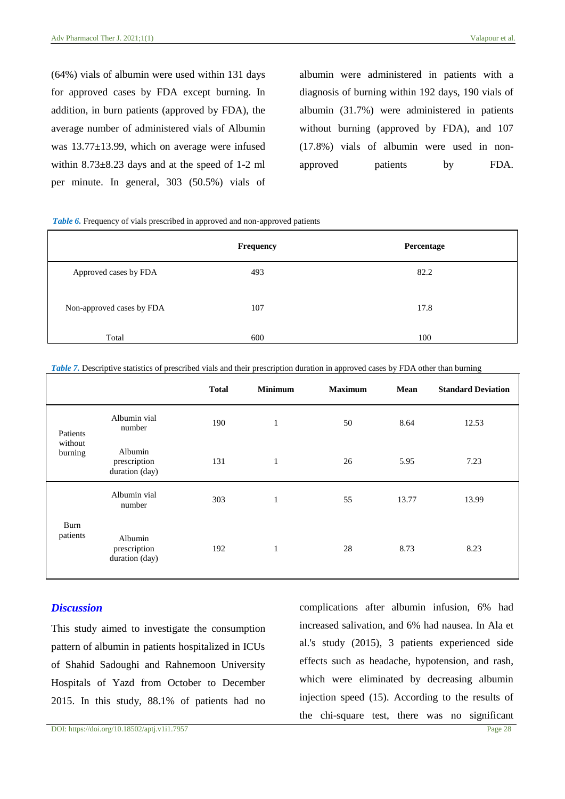(64%) vials of albumin were used within 131 days for approved cases by FDA except burning. In addition, in burn patients (approved by FDA), the average number of administered vials of Albumin was 13.77±13.99, which on average were infused within  $8.73 \pm 8.23$  days and at the speed of 1-2 ml per minute. In general, 303 (50.5%) vials of albumin were administered in patients with a diagnosis of burning within 192 days, 190 vials of albumin (31.7%) were administered in patients without burning (approved by FDA), and 107 (17.8%) vials of albumin were used in nonapproved patients by FDA.

*Table 6.* Frequency of vials prescribed in approved and non-approved patients

|                           | <b>Frequency</b> | Percentage |
|---------------------------|------------------|------------|
| Approved cases by FDA     | 493              | 82.2       |
| Non-approved cases by FDA | 107              | 17.8       |
| Total                     | 600              | 100        |

|                                |                                           | <b>Total</b> | <b>Minimum</b> | <b>Maximum</b> | Mean  | <b>Standard Deviation</b> |
|--------------------------------|-------------------------------------------|--------------|----------------|----------------|-------|---------------------------|
| Patients<br>without<br>burning | Albumin vial<br>number                    | 190          | $\mathbf{1}$   | 50             | 8.64  | 12.53                     |
|                                | Albumin<br>prescription<br>duration (day) | 131          | $\mathbf{1}$   | 26             | 5.95  | 7.23                      |
| Burn<br>patients               | Albumin vial<br>number                    | 303          | $\mathbf{1}$   | 55             | 13.77 | 13.99                     |
|                                | Albumin<br>prescription<br>duration (day) | 192          | 1              | 28             | 8.73  | 8.23                      |

#### *Discussion*

This study aimed to investigate the consumption pattern of albumin in patients hospitalized in ICUs of Shahid Sadoughi and Rahnemoon University Hospitals of Yazd from October to December 2015. In this study, 88.1% of patients had no

complications after albumin infusion, 6% had increased salivation, and 6% had nausea. In Ala et al.'s study (2015), 3 patients experienced side effects such as headache, hypotension, and rash, which were eliminated by decreasing albumin injection speed (15). According to the results of the chi-square test, there was no significant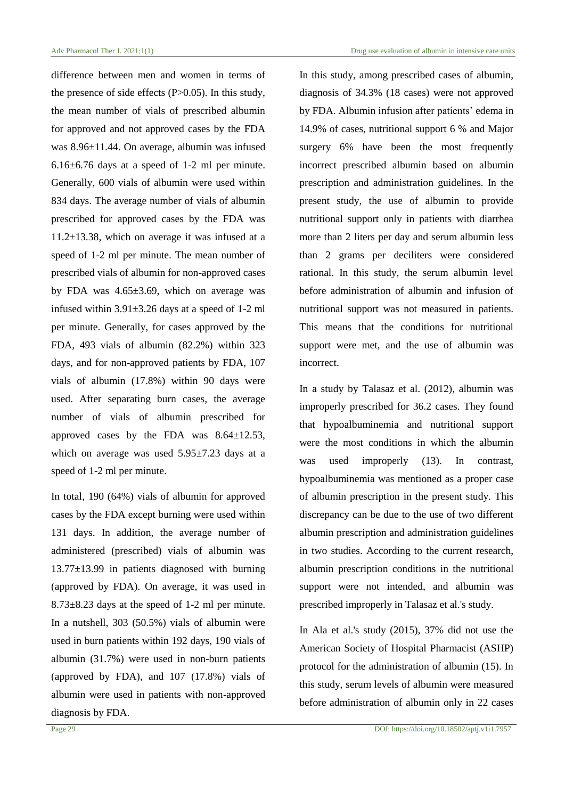difference between men and women in terms of the presence of side effects  $(P>0.05)$ . In this study, the mean number of vials of prescribed albumin for approved and not approved cases by the FDA was 8.96±11.44. On average, albumin was infused 6.16±6.76 days at a speed of 1-2 ml per minute. Generally, 600 vials of albumin were used within 834 days. The average number of vials of albumin prescribed for approved cases by the FDA was 11.2±13.38, which on average it was infused at a speed of 1-2 ml per minute. The mean number of prescribed vials of albumin for non-approved cases by FDA was 4.65±3.69, which on average was infused within 3.91±3.26 days at a speed of 1-2 ml per minute. Generally, for cases approved by the FDA, 493 vials of albumin (82.2%) within 323 days, and for non-approved patients by FDA, 107 vials of albumin (17.8%) within 90 days were used. After separating burn cases, the average number of vials of albumin prescribed for approved cases by the FDA was  $8.64 \pm 12.53$ , which on average was used 5.95±7.23 days at a speed of 1-2 ml per minute.

In total, 190 (64%) vials of albumin for approved cases by the FDA except burning were used within 131 days. In addition, the average number of administered (prescribed) vials of albumin was 13.77±13.99 in patients diagnosed with burning (approved by FDA). On average, it was used in 8.73±8.23 days at the speed of 1-2 ml per minute. In a nutshell, 303 (50.5%) vials of albumin were used in burn patients within 192 days, 190 vials of albumin (31.7%) were used in non-burn patients (approved by FDA), and 107 (17.8%) vials of albumin were used in patients with non-approved diagnosis by FDA.

In this study, among prescribed cases of albumin, diagnosis of 34.3% (18 cases) were not approved by FDA. Albumin infusion after patients' edema in 14.9% of cases, nutritional support 6 % and Major surgery 6% have been the most frequently incorrect prescribed albumin based on albumin prescription and administration guidelines. In the present study, the use of albumin to provide nutritional support only in patients with diarrhea more than 2 liters per day and serum albumin less than 2 grams per deciliters were considered rational. In this study, the serum albumin level before administration of albumin and infusion of nutritional support was not measured in patients. This means that the conditions for nutritional support were met, and the use of albumin was incorrect.

In a study by Talasaz et al. (2012), albumin was improperly prescribed for 36.2 cases. They found that hypoalbuminemia and nutritional support were the most conditions in which the albumin was used improperly (13). In contrast, hypoalbuminemia was mentioned as a proper case of albumin prescription in the present study. This discrepancy can be due to the use of two different albumin prescription and administration guidelines in two studies. According to the current research, albumin prescription conditions in the nutritional support were not intended, and albumin was prescribed improperly in Talasaz et al.'s study.

In Ala et al.'s study (2015), 37% did not use the American Society of Hospital Pharmacist (ASHP) protocol for the administration of albumin (15). In this study, serum levels of albumin were measured before administration of albumin only in 22 cases